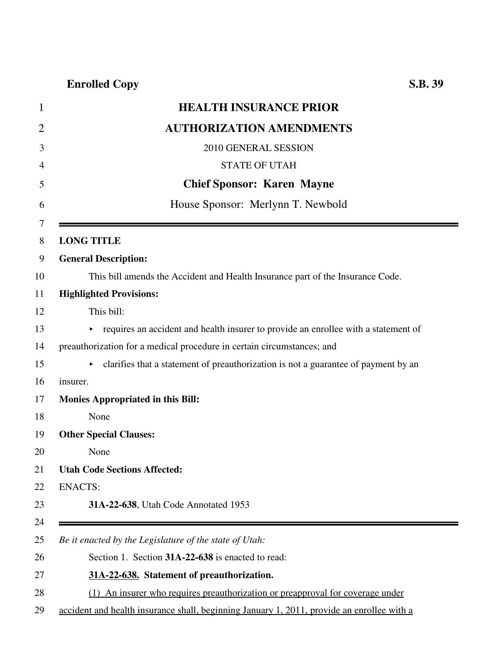## **Enrolled Copy S.B. 39**

| $\mathbf{1}$   | <b>HEALTH INSURANCE PRIOR</b>                                                        |
|----------------|--------------------------------------------------------------------------------------|
| $\overline{2}$ | <b>AUTHORIZATION AMENDMENTS</b>                                                      |
| 3              | 2010 GENERAL SESSION                                                                 |
| 4              | <b>STATE OF UTAH</b>                                                                 |
| 5              | <b>Chief Sponsor: Karen Mayne</b>                                                    |
| 6              | House Sponsor: Merlynn T. Newbold                                                    |
| 7<br>8         | <b>LONG TITLE</b>                                                                    |
| 9              | <b>General Description:</b>                                                          |
| 10             | This bill amends the Accident and Health Insurance part of the Insurance Code.       |
| 11             | <b>Highlighted Provisions:</b>                                                       |
| 12             | This bill:                                                                           |
| 13             | • requires an accident and health insurer to provide an enrollee with a statement of |
| 14             | preauthorization for a medical procedure in certain circumstances; and               |
| 15             | clarifies that a statement of preauthorization is not a guarantee of payment by an   |
| 16             | insurer.                                                                             |
| 17             | <b>Monies Appropriated in this Bill:</b>                                             |
| 18             | None                                                                                 |
| 19             | <b>Other Special Clauses:</b>                                                        |
| 20             | None                                                                                 |
| 21             | <b>Utah Code Sections Affected:</b>                                                  |
| 22             | <b>ENACTS:</b>                                                                       |
| 23             | 31A-22-638, Utah Code Annotated 1953                                                 |
| 24             |                                                                                      |
| 25             | Be it enacted by the Legislature of the state of Utah:                               |
| 26             | Section 1. Section 31A-22-638 is enacted to read:                                    |
| 27             | 31A-22-638. Statement of preauthorization.                                           |
| 28             | (1) An insurer who requires preauthorization or preapproval for coverage under       |

29 accident and health insurance shall, beginning January 1, 2011, provide an enrollee with a